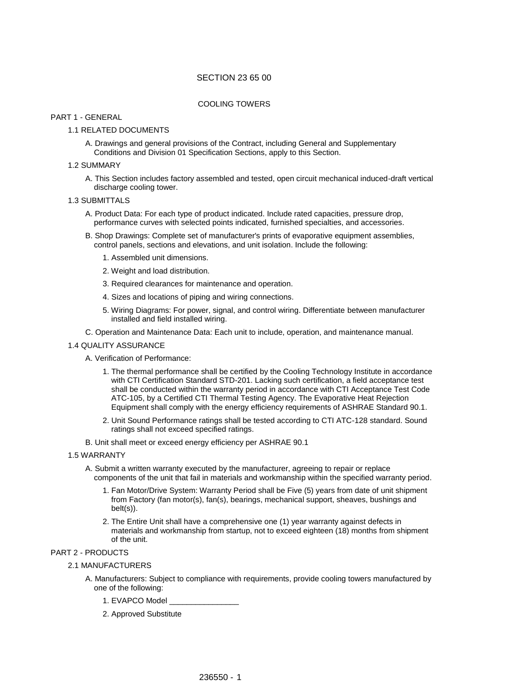# SECTION 23 65 00

### COOLING TOWERS

#### PART 1 - GENERAL

### 1.1 RELATED DOCUMENTS

A. Drawings and general provisions of the Contract, including General and Supplementary Conditions and Division 01 Specification Sections, apply to this Section.

### 1.2 SUMMARY

A. This Section includes factory assembled and tested, open circuit mechanical induced-draft vertical discharge cooling tower.

## 1.3 SUBMITTALS

- A. Product Data: For each type of product indicated. Include rated capacities, pressure drop, performance curves with selected points indicated, furnished specialties, and accessories.
- B. Shop Drawings: Complete set of manufacturer's prints of evaporative equipment assemblies, control panels, sections and elevations, and unit isolation. Include the following:
	- 1. Assembled unit dimensions.
	- 2. Weight and load distribution.
	- 3. Required clearances for maintenance and operation.
	- 4. Sizes and locations of piping and wiring connections.
	- 5. Wiring Diagrams: For power, signal, and control wiring. Differentiate between manufacturer installed and field installed wiring.
- C. Operation and Maintenance Data: Each unit to include, operation, and maintenance manual.

#### 1.4 QUALITY ASSURANCE

A. Verification of Performance:

- 1. The thermal performance shall be certified by the Cooling Technology Institute in accordance with CTI Certification Standard STD-201. Lacking such certification, a field acceptance test shall be conducted within the warranty period in accordance with CTI Acceptance Test Code ATC-105, by a Certified CTI Thermal Testing Agency. The Evaporative Heat Rejection Equipment shall comply with the energy efficiency requirements of ASHRAE Standard 90.1.
- 2. Unit Sound Performance ratings shall be tested according to CTI ATC-128 standard. Sound ratings shall not exceed specified ratings.
- B. Unit shall meet or exceed energy efficiency per ASHRAE 90.1
- 1.5 WARRANTY
	- A. Submit a written warranty executed by the manufacturer, agreeing to repair or replace components of the unit that fail in materials and workmanship within the specified warranty period.
		- 1. Fan Motor/Drive System: Warranty Period shall be Five (5) years from date of unit shipment from Factory (fan motor(s), fan(s), bearings, mechanical support, sheaves, bushings and belt(s)).
		- 2. The Entire Unit shall have a comprehensive one (1) year warranty against defects in materials and workmanship from startup, not to exceed eighteen (18) months from shipment of the unit.

## PART 2 - PRODUCTS

- 2.1 MANUFACTURERS
	- A. Manufacturers: Subject to compliance with requirements, provide cooling towers manufactured by one of the following:
		- 1. EVAPCO Model \_\_\_\_\_\_\_\_\_\_\_\_\_\_\_\_
		- 2. Approved Substitute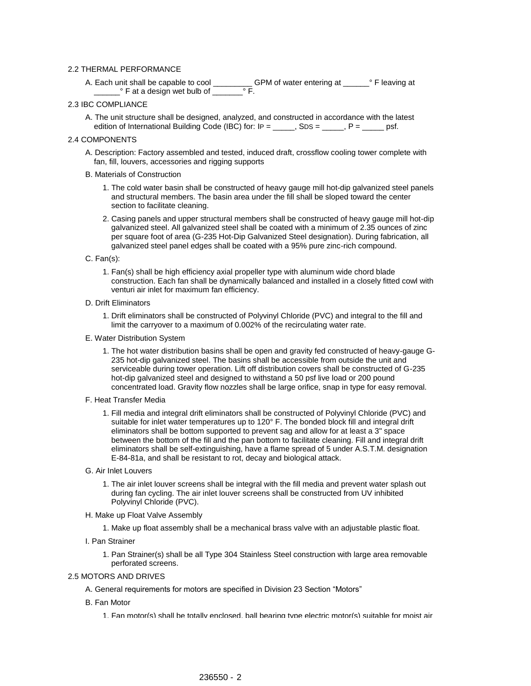### 2.2 THERMAL PERFORMANCE

A. Each unit shall be capable to cool \_\_\_\_\_\_\_\_\_\_\_GPM of water entering at \_\_\_\_\_\_\_° F leaving at \_\_\_\_\_\_° F at a design wet bulb of \_\_\_\_\_\_\_° F.

## 2.3 IBC COMPLIANCE

A. The unit structure shall be designed, analyzed, and constructed in accordance with the latest edition of International Building Code (IBC) for:  $IP =$  \_\_\_\_\_, SDS = \_\_\_\_, P = \_\_\_\_\_ psf.

### 2.4 COMPONENTS

A. Description: Factory assembled and tested, induced draft, crossflow cooling tower complete with fan, fill, louvers, accessories and rigging supports

### B. Materials of Construction

- 1. The cold water basin shall be constructed of heavy gauge mill hot-dip galvanized steel panels and structural members. The basin area under the fill shall be sloped toward the center section to facilitate cleaning.
- 2. Casing panels and upper structural members shall be constructed of heavy gauge mill hot-dip galvanized steel. All galvanized steel shall be coated with a minimum of 2.35 ounces of zinc per square foot of area (G-235 Hot-Dip Galvanized Steel designation). During fabrication, all galvanized steel panel edges shall be coated with a 95% pure zinc-rich compound.

#### C. Fan(s):

1. Fan(s) shall be high efficiency axial propeller type with aluminum wide chord blade construction. Each fan shall be dynamically balanced and installed in a closely fitted cowl with venturi air inlet for maximum fan efficiency.

### D. Drift Eliminators

- 1. Drift eliminators shall be constructed of Polyvinyl Chloride (PVC) and integral to the fill and limit the carryover to a maximum of 0.002% of the recirculating water rate.
- E. Water Distribution System
	- 1. The hot water distribution basins shall be open and gravity fed constructed of heavy-gauge G-235 hot-dip galvanized steel. The basins shall be accessible from outside the unit and serviceable during tower operation. Lift off distribution covers shall be constructed of G-235 hot-dip galvanized steel and designed to withstand a 50 psf live load or 200 pound concentrated load. Gravity flow nozzles shall be large orifice, snap in type for easy removal.
- F. Heat Transfer Media
	- 1. Fill media and integral drift eliminators shall be constructed of Polyvinyl Chloride (PVC) and suitable for inlet water temperatures up to 120° F. The bonded block fill and integral drift eliminators shall be bottom supported to prevent sag and allow for at least a 3" space between the bottom of the fill and the pan bottom to facilitate cleaning. Fill and integral drift eliminators shall be self-extinguishing, have a flame spread of 5 under A.S.T.M. designation E-84-81a, and shall be resistant to rot, decay and biological attack.
- G. Air Inlet Louvers
	- 1. The air inlet louver screens shall be integral with the fill media and prevent water splash out during fan cycling. The air inlet louver screens shall be constructed from UV inhibited Polyvinyl Chloride (PVC).
- H. Make up Float Valve Assembly
	- 1. Make up float assembly shall be a mechanical brass valve with an adjustable plastic float.
- I. Pan Strainer
	- 1. Pan Strainer(s) shall be all Type 304 Stainless Steel construction with large area removable perforated screens.

## 2.5 MOTORS AND DRIVES

- A. General requirements for motors are specified in Division 23 Section "Motors"
- B. Fan Motor
	- 1. Fan motor(s) shall be totally enclosed, ball bearing type electric motor(s) suitable for moist air